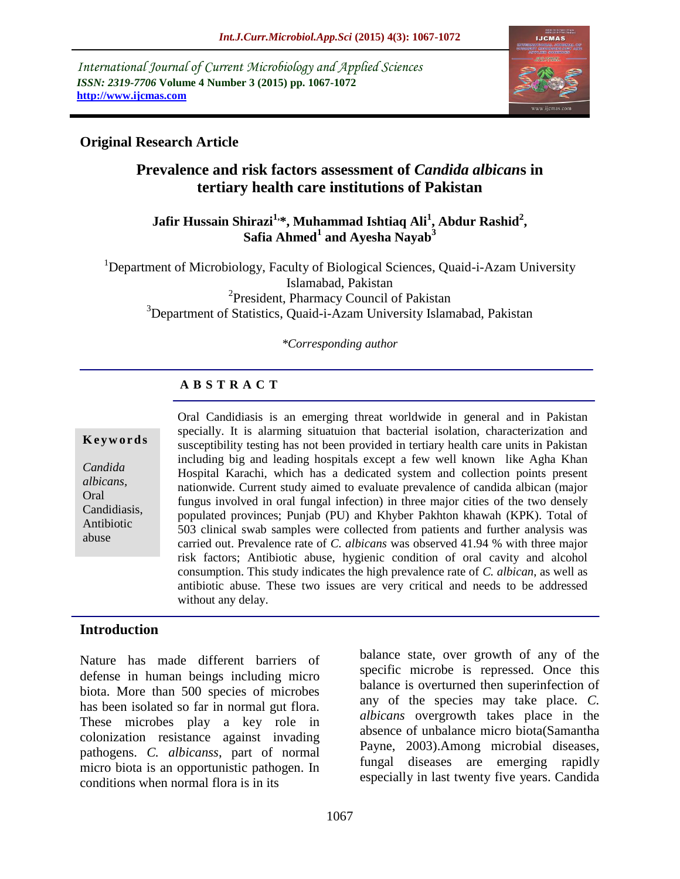*International Journal of Current Microbiology and Applied Sciences ISSN: 2319-7706* **Volume 4 Number 3 (2015) pp. 1067-1072 http://www.ijcmas.com**



# **Original Research Article**

# **Prevalence and risk factors assessment of** *Candida albican***s in tertiary health care institutions of Pakistan**

## **Jafir Hussain Shirazi1,\*, Muhammad Ishtiaq Ali<sup>1</sup> , Abdur Rashid<sup>2</sup> , Safia Ahmed<sup>1</sup> and Ayesha Nayab<sup>3</sup>**

<sup>1</sup>Department of Microbiology, Faculty of Biological Sciences, Quaid-i-Azam University Islamabad, Pakistan <sup>2</sup>President, Pharmacy Council of Pakistan <sup>3</sup>Department of Statistics, Quaid-i-Azam University Islamabad, Pakistan

#### *\*Corresponding author*

# **A B S T R A C T**

#### **K e y w o r d s**

*Candida albicans,* Oral Candidiasis, Antibiotic abuse

Oral Candidiasis is an emerging threat worldwide in general and in Pakistan specially. It is alarming situatuion that bacterial isolation, characterization and susceptibility testing has not been provided in tertiary health care units in Pakistan including big and leading hospitals except a few well known like Agha Khan Hospital Karachi, which has a dedicated system and collection points present nationwide. Current study aimed to evaluate prevalence of candida albican (major fungus involved in oral fungal infection) in three major cities of the two densely populated provinces; Punjab (PU) and Khyber Pakhton khawah (KPK). Total of 503 clinical swab samples were collected from patients and further analysis was carried out. Prevalence rate of *C. albicans* was observed 41.94 % with three major risk factors; Antibiotic abuse, hygienic condition of oral cavity and alcohol consumption. This study indicates the high prevalence rate of *C. albican*, as well as antibiotic abuse. These two issues are very critical and needs to be addressed without any delay.

## **Introduction**

Nature has made different barriers of defense in human beings including micro biota. More than 500 species of microbes has been isolated so far in normal gut flora. These microbes play a key role in colonization resistance against invading pathogens. *C. albicanss*, part of normal micro biota is an opportunistic pathogen. In conditions when normal flora is in its

balance state, over growth of any of the specific microbe is repressed. Once this balance is overturned then superinfection of any of the species may take place. *C. albicans* overgrowth takes place in the absence of unbalance micro biota(Samantha Payne, 2003).Among microbial diseases, fungal diseases are emerging rapidly especially in last twenty five years. Candida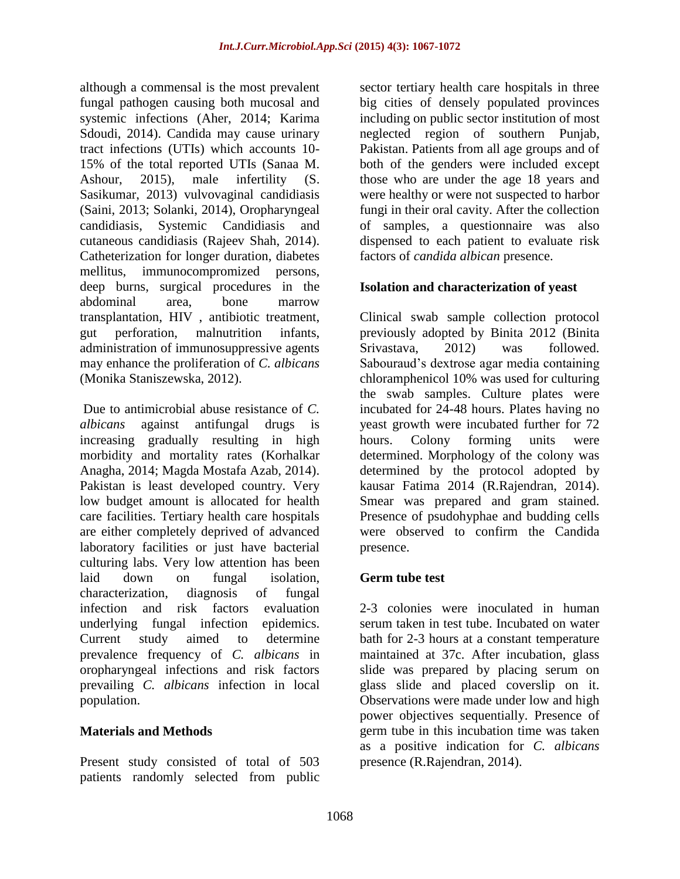although a commensal is the most prevalent fungal pathogen causing both mucosal and systemic infections (Aher, 2014; Karima Sdoudi, 2014). Candida may cause urinary tract infections (UTIs) which accounts 10- 15% of the total reported UTIs (Sanaa M. Ashour, 2015), male infertility (S. Sasikumar, 2013) vulvovaginal candidiasis (Saini, 2013; Solanki, 2014), Oropharyngeal candidiasis, Systemic Candidiasis and cutaneous candidiasis (Rajeev Shah, 2014). Catheterization for longer duration, diabetes mellitus, immunocompromized persons, deep burns, surgical procedures in the abdominal area, bone marrow transplantation, HIV , antibiotic treatment, gut perforation, malnutrition infants, administration of immunosuppressive agents may enhance the proliferation of *C. albicans* (Monika Staniszewska, 2012).

Due to antimicrobial abuse resistance of *C. albicans* against antifungal drugs is increasing gradually resulting in high morbidity and mortality rates (Korhalkar Anagha, 2014; Magda Mostafa Azab, 2014). Pakistan is least developed country. Very low budget amount is allocated for health care facilities. Tertiary health care hospitals are either completely deprived of advanced laboratory facilities or just have bacterial culturing labs. Very low attention has been laid down on fungal isolation, characterization, diagnosis of fungal infection and risk factors evaluation underlying fungal infection epidemics. Current study aimed to determine prevalence frequency of *C. albicans* in oropharyngeal infections and risk factors prevailing *C. albicans* infection in local population.

## **Materials and Methods**

Present study consisted of total of 503 patients randomly selected from public sector tertiary health care hospitals in three big cities of densely populated provinces including on public sector institution of most neglected region of southern Punjab, Pakistan. Patients from all age groups and of both of the genders were included except those who are under the age 18 years and were healthy or were not suspected to harbor fungi in their oral cavity. After the collection of samples, a questionnaire was also dispensed to each patient to evaluate risk factors of *candida albican* presence.

## **Isolation and characterization of yeast**

Clinical swab sample collection protocol previously adopted by Binita 2012 (Binita Srivastava, 2012) was followed. Sabouraud's dextrose agar media containing chloramphenicol 10% was used for culturing the swab samples. Culture plates were incubated for 24-48 hours. Plates having no yeast growth were incubated further for 72 hours. Colony forming units were determined. Morphology of the colony was determined by the protocol adopted by kausar Fatima 2014 (R.Rajendran, 2014). Smear was prepared and gram stained. Presence of psudohyphae and budding cells were observed to confirm the Candida presence.

# **Germ tube test**

2-3 colonies were inoculated in human serum taken in test tube. Incubated on water bath for 2-3 hours at a constant temperature maintained at 37c. After incubation, glass slide was prepared by placing serum on glass slide and placed coverslip on it. Observations were made under low and high power objectives sequentially. Presence of germ tube in this incubation time was taken as a positive indication for *C. albicans* presence (R.Rajendran, 2014).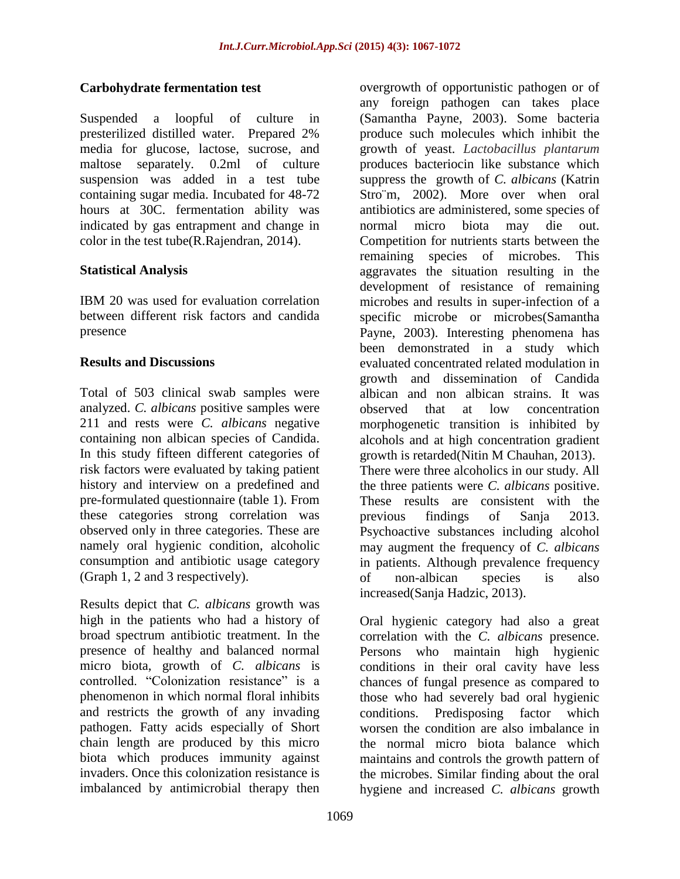## **Carbohydrate fermentation test**

Suspended a loopful of culture in presterilized distilled water. Prepared 2% media for glucose, lactose, sucrose, and maltose separately. 0.2ml of culture suspension was added in a test tube containing sugar media. Incubated for 48-72 hours at 30C. fermentation ability was indicated by gas entrapment and change in color in the test tube(R.Rajendran, 2014).

### **Statistical Analysis**

IBM 20 was used for evaluation correlation between different risk factors and candida presence

### **Results and Discussions**

Total of 503 clinical swab samples were analyzed. *C. albicans* positive samples were 211 and rests were *C. albicans* negative containing non albican species of Candida. In this study fifteen different categories of risk factors were evaluated by taking patient history and interview on a predefined and pre-formulated questionnaire (table 1). From these categories strong correlation was observed only in three categories. These are namely oral hygienic condition, alcoholic consumption and antibiotic usage category (Graph 1, 2 and 3 respectively).

Results depict that *C. albicans* growth was high in the patients who had a history of broad spectrum antibiotic treatment. In the presence of healthy and balanced normal micro biota, growth of *C. albicans* is controlled. "Colonization resistance" is a phenomenon in which normal floral inhibits and restricts the growth of any invading pathogen. Fatty acids especially of Short chain length are produced by this micro biota which produces immunity against invaders. Once this colonization resistance is imbalanced by antimicrobial therapy then

overgrowth of opportunistic pathogen or of any foreign pathogen can takes place (Samantha Payne, 2003). Some bacteria produce such molecules which inhibit the growth of yeast. *Lactobacillus plantarum* produces bacteriocin like substance which suppress the growth of *C. albicans* (Katrin Stro m, 2002). More over when oral antibiotics are administered, some species of normal micro biota may die out. Competition for nutrients starts between the remaining species of microbes. This aggravates the situation resulting in the development of resistance of remaining microbes and results in super-infection of a specific microbe or microbes(Samantha Payne, 2003). Interesting phenomena has been demonstrated in a study which evaluated concentrated related modulation in growth and dissemination of Candida albican and non albican strains. It was observed that at low concentration morphogenetic transition is inhibited by alcohols and at high concentration gradient growth is retarded(Nitin M Chauhan, 2013). There were three alcoholics in our study. All the three patients were *C. albicans* positive. These results are consistent with the previous findings of Sanja 2013. Psychoactive substances including alcohol may augment the frequency of *C. albicans* in patients. Although prevalence frequency of non-albican species is also increased(Sanja Hadzic, 2013).

Oral hygienic category had also a great correlation with the *C. albicans* presence. Persons who maintain high hygienic conditions in their oral cavity have less chances of fungal presence as compared to those who had severely bad oral hygienic conditions. Predisposing factor which worsen the condition are also imbalance in the normal micro biota balance which maintains and controls the growth pattern of the microbes. Similar finding about the oral hygiene and increased *C. albicans* growth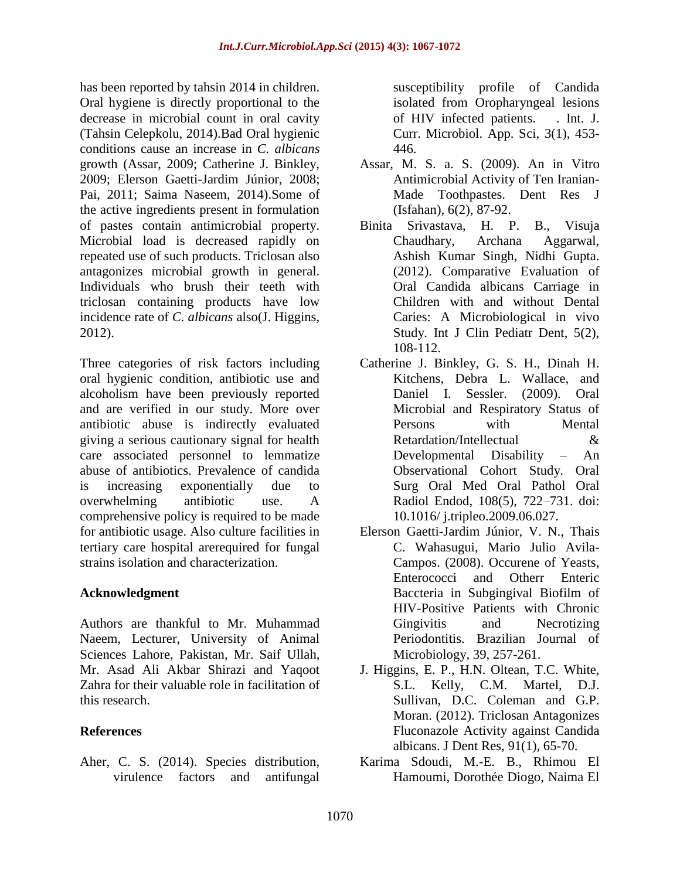has been reported by tahsin 2014 in children. Oral hygiene is directly proportional to the decrease in microbial count in oral cavity (Tahsin Celepkolu, 2014).Bad Oral hygienic conditions cause an increase in *C. albicans* growth (Assar, 2009; Catherine J. Binkley, 2009; Elerson Gaetti-Jardim Júnior, 2008; Pai, 2011; Saima Naseem, 2014).Some of the active ingredients present in formulation of pastes contain antimicrobial property. Microbial load is decreased rapidly on repeated use of such products. Triclosan also antagonizes microbial growth in general. Individuals who brush their teeth with triclosan containing products have low incidence rate of *C. albicans* also(J. Higgins, 2012).

Three categories of risk factors including oral hygienic condition, antibiotic use and alcoholism have been previously reported and are verified in our study. More over antibiotic abuse is indirectly evaluated giving a serious cautionary signal for health care associated personnel to lemmatize abuse of antibiotics. Prevalence of candida is increasing exponentially due to overwhelming antibiotic use. A comprehensive policy is required to be made for antibiotic usage. Also culture facilities in tertiary care hospital arerequired for fungal strains isolation and characterization.

## **Acknowledgment**

Authors are thankful to Mr. Muhammad Naeem, Lecturer, University of Animal Sciences Lahore, Pakistan, Mr. Saif Ullah, Mr. Asad Ali Akbar Shirazi and Yaqoot Zahra for their valuable role in facilitation of this research.

# **References**

Aher, C. S. (2014). Species distribution, virulence factors and antifungal susceptibility profile of Candida isolated from Oropharyngeal lesions of HIV infected patients. . Int. J. Curr. Microbiol. App. Sci, 3(1), 453- 446.

- Assar, M. S. a. S. (2009). An in Vitro Antimicrobial Activity of Ten Iranian-Made Toothpastes. Dent Res J (Isfahan), 6(2), 87-92.
- Binita Srivastava, H. P. B., Visuja Chaudhary, Archana Aggarwal, Ashish Kumar Singh, Nidhi Gupta. (2012). Comparative Evaluation of Oral Candida albicans Carriage in Children with and without Dental Caries: A Microbiological in vivo Study. Int J Clin Pediatr Dent, 5(2), 108-112.
- Catherine J. Binkley, G. S. H., Dinah H. Kitchens, Debra L. Wallace, and Daniel I. Sessler. (2009). Oral Microbial and Respiratory Status of Persons with Mental Retardation/Intellectual & Developmental Disability – An Observational Cohort Study. Oral Surg Oral Med Oral Pathol Oral Radiol Endod, 108(5), 722–731. doi: 10.1016/ j.tripleo.2009.06.027.
- Elerson Gaetti-Jardim Júnior, V. N., Thais C. Wahasugui, Mario Julio Avila-Campos. (2008). Occurene of Yeasts, Enterococci and Otherr Enteric Baccteria in Subgingival Biofilm of HIV-Positive Patients with Chronic Gingivitis and Necrotizing Periodontitis. Brazilian Journal of Microbiology, 39, 257-261.
- J. Higgins, E. P., H.N. Oltean, T.C. White, S.L. Kelly, C.M. Martel, D.J. Sullivan, D.C. Coleman and G.P. Moran. (2012). Triclosan Antagonizes Fluconazole Activity against Candida albicans. J Dent Res, 91(1), 65-70.
- Karima Sdoudi, M.-E. B., Rhimou El Hamoumi, Dorothée Diogo, Naima El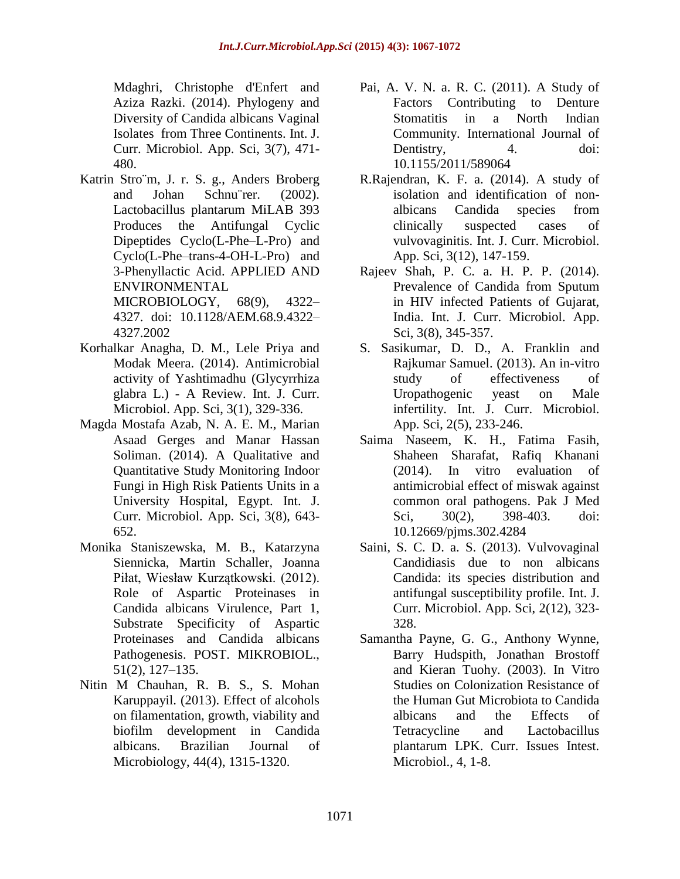Mdaghri, Christophe d'Enfert and Aziza Razki. (2014). Phylogeny and Diversity of Candida albicans Vaginal Isolates from Three Continents. Int. J. Curr. Microbiol. App. Sci, 3(7), 471- 480.

- Katrin Stro¨m, J. r. S. g., Anders Broberg and Johan Schnu¨rer. (2002). Lactobacillus plantarum MiLAB 393 Produces the Antifungal Cyclic Dipeptides Cyclo(L-Phe–L-Pro) and Cyclo(L-Phe–trans-4-OH-L-Pro) and 3-Phenyllactic Acid. APPLIED AND ENVIRONMENTAL MICROBIOLOGY, 68(9), 4322– 4327. doi: 10.1128/AEM.68.9.4322– 4327.2002
- Korhalkar Anagha, D. M., Lele Priya and Modak Meera. (2014). Antimicrobial activity of Yashtimadhu (Glycyrrhiza glabra L.) - A Review. Int. J. Curr. Microbiol. App. Sci, 3(1), 329-336.
- Magda Mostafa Azab, N. A. E. M., Marian Asaad Gerges and Manar Hassan Soliman. (2014). A Qualitative and Quantitative Study Monitoring Indoor Fungi in High Risk Patients Units in a University Hospital, Egypt. Int. J. Curr. Microbiol. App. Sci, 3(8), 643- 652.
- Monika Staniszewska, M. B., Katarzyna Siennicka, Martin Schaller, Joanna Piłat, Wiesław Kurzątkowski. (2012). Role of Aspartic Proteinases in Candida albicans Virulence, Part 1, Substrate Specificity of Aspartic Proteinases and Candida albicans Pathogenesis. POST. MIKROBIOL., 51(2), 127–135.
- Nitin M Chauhan, R. B. S., S. Mohan Karuppayil. (2013). Effect of alcohols on filamentation, growth, viability and biofilm development in Candida albicans. Brazilian Journal of Microbiology, 44(4), 1315-1320.
- Pai, A. V. N. a. R. C. (2011). A Study of Factors Contributing to Denture Stomatitis in a North Indian Community. International Journal of Dentistry, 4. doi: 10.1155/2011/589064
- R.Rajendran, K. F. a. (2014). A study of isolation and identification of nonalbicans Candida species from clinically suspected cases of vulvovaginitis. Int. J. Curr. Microbiol. App. Sci, 3(12), 147-159.
- Rajeev Shah, P. C. a. H. P. P. (2014). Prevalence of Candida from Sputum in HIV infected Patients of Gujarat, India. Int. J. Curr. Microbiol. App. Sci, 3(8), 345-357.
- S. Sasikumar, D. D., A. Franklin and Rajkumar Samuel. (2013). An in-vitro study of effectiveness of Uropathogenic yeast on Male infertility. Int. J. Curr. Microbiol. App. Sci, 2(5), 233-246.
- Saima Naseem, K. H., Fatima Fasih, Shaheen Sharafat, Rafiq Khanani (2014). In vitro evaluation of antimicrobial effect of miswak against common oral pathogens. Pak J Med Sci, 30(2), 398-403. doi: 10.12669/pjms.302.4284
- Saini, S. C. D. a. S. (2013). Vulvovaginal Candidiasis due to non albicans Candida: its species distribution and antifungal susceptibility profile. Int. J. Curr. Microbiol. App. Sci, 2(12), 323- 328.
- Samantha Payne, G. G., Anthony Wynne, Barry Hudspith, Jonathan Brostoff and Kieran Tuohy. (2003). In Vitro Studies on Colonization Resistance of the Human Gut Microbiota to Candida albicans and the Effects of Tetracycline and Lactobacillus plantarum LPK. Curr. Issues Intest. Microbiol., 4, 1-8.